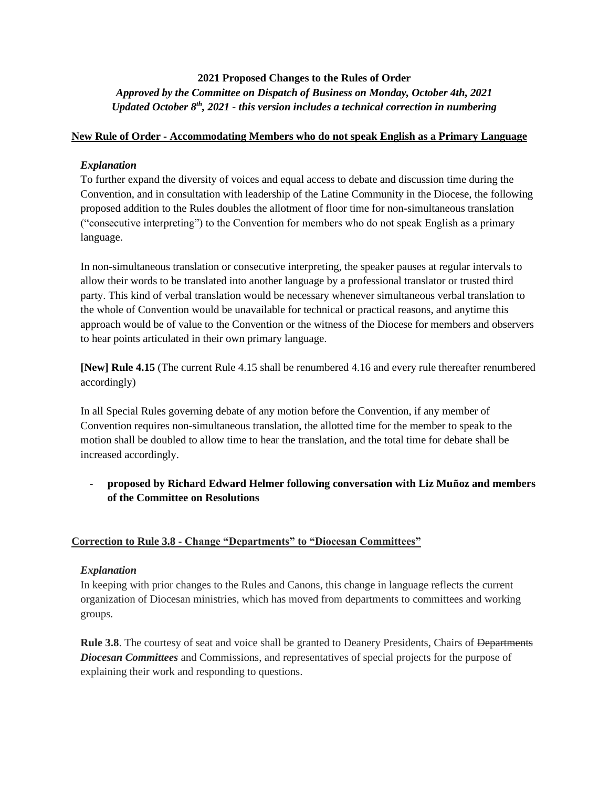# **2021 Proposed Changes to the Rules of Order** *Approved by the Committee on Dispatch of Business on Monday, October 4th, 2021 Updated October 8th, 2021 - this version includes a technical correction in numbering*

## **New Rule of Order - Accommodating Members who do not speak English as a Primary Language**

## *Explanation*

To further expand the diversity of voices and equal access to debate and discussion time during the Convention, and in consultation with leadership of the Latine Community in the Diocese, the following proposed addition to the Rules doubles the allotment of floor time for non-simultaneous translation ("consecutive interpreting") to the Convention for members who do not speak English as a primary language.

In non-simultaneous translation or consecutive interpreting, the speaker pauses at regular intervals to allow their words to be translated into another language by a professional translator or trusted third party. This kind of verbal translation would be necessary whenever simultaneous verbal translation to the whole of Convention would be unavailable for technical or practical reasons, and anytime this approach would be of value to the Convention or the witness of the Diocese for members and observers to hear points articulated in their own primary language.

**[New] Rule 4.15** (The current Rule 4.15 shall be renumbered 4.16 and every rule thereafter renumbered accordingly)

In all Special Rules governing debate of any motion before the Convention, if any member of Convention requires non-simultaneous translation, the allotted time for the member to speak to the motion shall be doubled to allow time to hear the translation, and the total time for debate shall be increased accordingly.

- **proposed by Richard Edward Helmer following conversation with Liz Muñoz and members of the Committee on Resolutions**

### **Correction to Rule 3.8 - Change "Departments" to "Diocesan Committees"**

### *Explanation*

In keeping with prior changes to the Rules and Canons, this change in language reflects the current organization of Diocesan ministries, which has moved from departments to committees and working groups.

**Rule 3.8**. The courtesy of seat and voice shall be granted to Deanery Presidents, Chairs of <del>Departments</del> *Diocesan Committees* and Commissions, and representatives of special projects for the purpose of explaining their work and responding to questions.